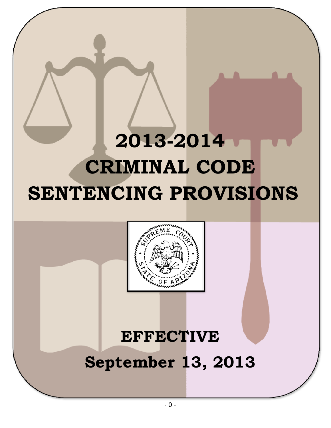## **2013-2014 CRIMINAL CODE SENTENCING PROVISIONS**



# **EFFECTIVE**

### **September 13, 2013**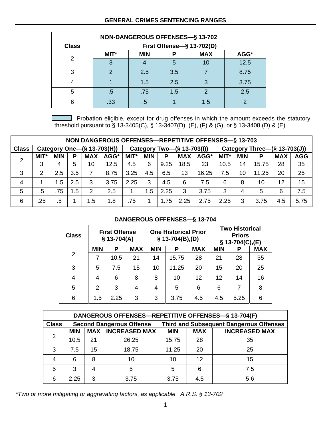#### **GENERAL CRIMES SENTENCING RANGES**

|              | <b>NON-DANGEROUS OFFENSES-§ 13-702</b> |            |     |            |      |  |  |  |  |  |  |
|--------------|----------------------------------------|------------|-----|------------|------|--|--|--|--|--|--|
| <b>Class</b> | First Offense-§ 13-702(D)              |            |     |            |      |  |  |  |  |  |  |
| 2            | MIT*                                   | <b>MIN</b> | Р   | <b>MAX</b> | AGG* |  |  |  |  |  |  |
|              |                                        |            | 5   | 10         | 12.5 |  |  |  |  |  |  |
| З            | 2                                      | 2.5        | 3.5 |            | 8.75 |  |  |  |  |  |  |
|              |                                        | 1.5        | 2.5 | 3          | 3.75 |  |  |  |  |  |  |
| 5            | .5                                     | .75        | 1.5 | 2          | 2.5  |  |  |  |  |  |  |
| 6            | .33                                    | .5         |     | 1.5        |      |  |  |  |  |  |  |

 $\Box$  Probation eligible, except for drug offenses in which the amount exceeds the statutory threshold pursuant to § 13-3405(C), § 13-3407(D), (E), (F) & (G), or § 13-3408 (D) & (E)

|                                            | NON DANGEROUS OFFENSES-REPETITIVE OFFENSES-§ 13-703 |            |                 |            |      |                            |            |      |            |                              |              |            |       |            |            |
|--------------------------------------------|-----------------------------------------------------|------------|-----------------|------------|------|----------------------------|------------|------|------------|------------------------------|--------------|------------|-------|------------|------------|
| <b>Class</b><br>Category One-(§ 13-703(H)) |                                                     |            |                 |            |      | Category Two-(§ 13-703(l)) |            |      |            | Category Three-(§ 13-703(J)) |              |            |       |            |            |
| 2                                          | <b>MIT</b> *                                        | <b>MIN</b> | P               | <b>MAX</b> | AGG* | <b>MIT</b> *               | <b>MIN</b> | Ρ    | <b>MAX</b> | AGG*                         | <b>MIT</b> * | <b>MIN</b> | P     | <b>MAX</b> | <b>AGG</b> |
|                                            | 3                                                   | 4          | 5               | 10         | 12.5 | 4.5                        | 6          | 9.25 | 18.5       | 23                           | 10.5         | 14         | 15.75 | 28         | 35         |
| 3                                          | 2                                                   | 2.5        | 3.5             |            | 8.75 | 3.25                       | 4.5        | 6.5  | 13         | 16.25                        | 7.5          | 10         | 11.25 | 20         | 25         |
| 4                                          |                                                     | 1.5        | 2.5             | 3          | 3.75 | 2.25                       | 3          | 4.5  | 6          | 7.5                          | 6            | 8          | 10    | 12         | 15         |
| 5                                          | .5                                                  | .75        | .5 <sup>2</sup> | 2          | 2.5  |                            | 1.5        | 2.25 | 3          | 3.75                         | 3            | 4          | 5     | 6          | 7.5        |
| 6                                          | .25                                                 | .5         |                 | 1.5        | 1.8  | .75                        |            | 1.75 | 2.25       | 2.75                         | 2.25         | 3          | 3.75  | 4.5        | 5.75       |

|                | <b>DANGEROUS OFFENSES-§ 13-704</b> |                                      |            |            |                                                   |            |                                                           |      |            |  |  |  |
|----------------|------------------------------------|--------------------------------------|------------|------------|---------------------------------------------------|------------|-----------------------------------------------------------|------|------------|--|--|--|
| <b>Class</b>   |                                    | <b>First Offense</b><br>$$13-704(A)$ |            |            | <b>One Historical Prior</b><br>$$ 13-704(B), (D)$ |            | <b>Two Historical</b><br><b>Priors</b><br>§ 13-704(C),(E) |      |            |  |  |  |
|                | <b>MIN</b>                         | Ρ                                    | <b>MAX</b> | <b>MIN</b> | Р                                                 | <b>MAX</b> | <b>MIN</b>                                                | P    | <b>MAX</b> |  |  |  |
| $\overline{2}$ | 7                                  | 10.5                                 | 21         | 14         | 15.75                                             | 28         | 21                                                        | 28   | 35         |  |  |  |
| 3              | 5                                  | 7.5                                  | 15         | 10         | 11.25                                             | 20         | 15                                                        | 20   | 25         |  |  |  |
| 4              | 4                                  | 6                                    | 8          | 8          | 10                                                | 12         | 12                                                        | 14   | 16         |  |  |  |
| 5              | 2                                  | 3                                    | 4          | 4          | 5                                                 | 6          | 6                                                         | 7    | 8          |  |  |  |
| 6              | 1.5                                | 2.25                                 | 3          | 3          | 3.75                                              | 4.5        | 4.5                                                       | 5.25 | 6          |  |  |  |

|              | DANGEROUS OFFENSES-REPETITIVE OFFENSES-§ 13-704(F) |            |                                 |                                                |            |                      |  |  |  |  |  |  |
|--------------|----------------------------------------------------|------------|---------------------------------|------------------------------------------------|------------|----------------------|--|--|--|--|--|--|
| <b>Class</b> |                                                    |            | <b>Second Dangerous Offense</b> | <b>Third and Subsequent Dangerous Offenses</b> |            |                      |  |  |  |  |  |  |
|              | <b>MIN</b>                                         | <b>MAX</b> | <b>INCREASED MAX</b>            | <b>MIN</b>                                     | <b>MAX</b> | <b>INCREASED MAX</b> |  |  |  |  |  |  |
| 2            | 10.5                                               | 21         | 26.25                           | 15.75                                          | 28         | 35                   |  |  |  |  |  |  |
| 3            | 7.5                                                | 15         | 18.75                           | 11.25                                          | 20         | 25                   |  |  |  |  |  |  |
| 4            | 6                                                  | 8          | 10                              | 10                                             | 12         | 15                   |  |  |  |  |  |  |
| 5            | 3                                                  |            | 5                               | 5                                              | 6          | 7.5                  |  |  |  |  |  |  |
| 6            | 2.25                                               | З          | 3.75                            | 3.75                                           | 4.5        | 5.6                  |  |  |  |  |  |  |

*\*Two or more mitigating or aggravating factors, as applicable. A.R.S. § 13-702*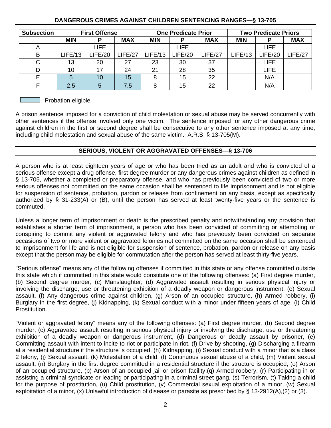|                   |                               |                      |         |            |                            |            | $\tilde{\phantom{a}}$       |         |            |
|-------------------|-------------------------------|----------------------|---------|------------|----------------------------|------------|-----------------------------|---------|------------|
| <b>Subsection</b> |                               | <b>First Offense</b> |         |            | <b>One Predicate Prior</b> |            | <b>Two Predicate Priors</b> |         |            |
|                   | <b>MIN</b><br><b>MAX</b><br>P |                      |         | <b>MIN</b> | P                          | <b>MAX</b> | <b>MIN</b>                  | P       | <b>MAX</b> |
| A                 |                               | <b>LIFE</b>          |         |            | <b>LIFE</b>                |            |                             | LIFE    |            |
| B                 | LIFE/13                       | LIFE/20              | LIEE/27 | LIFE/13    | LIFE/20                    | LIFE/27    | LIFE/13                     | LIFE/20 | LIFE/27    |
| ⌒                 | 13                            | 20                   | 27      | 23         | 30                         | 37         |                             | LIFE    |            |
| D                 | 10                            | 17                   | 24      | 21         | 28                         | 35         |                             | LIFE    |            |
| Е                 | 5                             | 10                   | 15      | 8          | 15                         | 22         |                             | N/A     |            |
|                   | 2.5                           | 5                    | 7.5     | 8          | 15                         | 22         |                             | N/A     |            |

#### **DANGEROUS CRIMES AGAINST CHILDREN SENTENCING RANGES—§ 13-705**

#### $\Box$  Probation eligible

A prison sentence imposed for a conviction of child molestation or sexual abuse may be served concurrently with other sentences if the offense involved only one victim. The sentence imposed for any other dangerous crime against children in the first or second degree shall be consecutive to any other sentence imposed at any time, including child molestation and sexual abuse of the same victim. A.R.S. § 13-705(M).

#### **SERIOUS, VIOLENT OR AGGRAVATED OFFENSES—§ 13-706**

A person who is at least eighteen years of age or who has been tried as an adult and who is convicted of a serious offense except a drug offense, first degree murder or any dangerous crimes against children as defined in § 13-705, whether a completed or preparatory offense, and who has previously been convicted of two or more serious offenses not committed on the same occasion shall be sentenced to life imprisonment and is not eligible for suspension of sentence, probation, pardon or release from confinement on any basis, except as specifically authorized by § 31-233(A) or (B), until the person has served at least twenty-five years or the sentence is commuted.

Unless a longer term of imprisonment or death is the prescribed penalty and notwithstanding any provision that establishes a shorter term of imprisonment, a person who has been convicted of committing or attempting or conspiring to commit any violent or aggravated felony and who has previously been convicted on separate occasions of two or more violent or aggravated felonies not committed on the same occasion shall be sentenced to imprisonment for life and is not eligible for suspension of sentence, probation, pardon or release on any basis except that the person may be eligible for commutation after the person has served at least thirty-five years.

"Serious offense" means any of the following offenses if committed in this state or any offense committed outside this state which if committed in this state would constitute one of the following offenses: (a) First degree murder, (b) Second degree murder, (c) Manslaughter, (d) Aggravated assault resulting in serious physical injury or involving the discharge, use or threatening exhibition of a deadly weapon or dangerous instrument, (e) Sexual assault, (f) Any dangerous crime against children, (g) Arson of an occupied structure, (h) Armed robbery, (i) Burglary in the first degree, (j) Kidnapping, (k) Sexual conduct with a minor under fifteen years of age, (i) Child Prostitution.

"Violent or aggravated felony" means any of the following offenses: (a) First degree murder, (b) Second degree murder, (c) Aggravated assault resulting in serious physical injury or involving the discharge, use or threatening exhibition of a deadly weapon or dangerous instrument, (d) Dangerous or deadly assault by prisoner, (e) Committing assault with intent to incite to riot or participate in riot, (f) Drive by shooting, (g) Discharging a firearm at a residential structure if the structure is occupied, (h) Kidnapping, (i) Sexual conduct with a minor that is a class 2 felony, (j) Sexual assault, (k) Molestation of a child, (l) Continuous sexual abuse of a child, (m) Violent sexual assault, (n) Burglary in the first degree committed in a residential structure if the structure is occupied, (o) Arson of an occupied structure, (p) Arson of an occupied jail or prison facility,(q) Armed robbery, (r) Participating in or assisting a criminal syndicate or leading or participating in a criminal street gang, (s) Terrorism, (t) Taking a child for the purpose of prostitution, (u) Child prostitution, (v) Commercial sexual exploitation of a minor, (w) Sexual exploitation of a minor, (x) Unlawful introduction of disease or parasite as prescribed by § 13-2912(A),(2) or (3).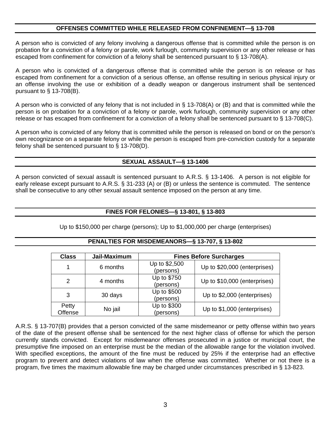#### **OFFENSES COMMITTED WHILE RELEASED FROM CONFINEMENT—§ 13-708**

A person who is convicted of any felony involving a dangerous offense that is committed while the person is on probation for a conviction of a felony or parole, work furlough, community supervision or any other release or has escaped from confinement for conviction of a felony shall be sentenced pursuant to § 13-708(A).

A person who is convicted of a dangerous offense that is committed while the person is on release or has escaped from confinement for a conviction of a serious offense, an offense resulting in serious physical injury or an offense involving the use or exhibition of a deadly weapon or dangerous instrument shall be sentenced pursuant to  $\S$  13-708(B).

A person who is convicted of any felony that is not included in § 13-708(A) or (B) and that is committed while the person is on probation for a conviction of a felony or parole, work furlough, community supervision or any other release or has escaped from confinement for a conviction of a felony shall be sentenced pursuant to § 13-708(C).

A person who is convicted of any felony that is committed while the person is released on bond or on the person's own recognizance on a separate felony or while the person is escaped from pre-conviction custody for a separate felony shall be sentenced pursuant to § 13-708(D).

#### **SEXUAL ASSAULT—§ 13-1406**

A person convicted of sexual assault is sentenced pursuant to A.R.S. § 13-1406. A person is not eligible for early release except pursuant to A.R.S. § 31-233 (A) or (B) or unless the sentence is commuted. The sentence shall be consecutive to any other sexual assault sentence imposed on the person at any time.

#### **FINES FOR FELONIES—§ 13-801, § 13-803**

Up to \$150,000 per charge (persons); Up to \$1,000,000 per charge (enterprises)

#### **PENALTIES FOR MISDEMEANORS—§ 13-707, § 13-802**

| <b>Class</b>     | Jail-Maximum | <b>Fines Before Surcharges</b> |                              |  |  |  |  |
|------------------|--------------|--------------------------------|------------------------------|--|--|--|--|
|                  | 6 months     | Up to \$2,500<br>(persons)     | Up to \$20,000 (enterprises) |  |  |  |  |
| 2                | 4 months     | Up to \$750<br>(persons)       | Up to \$10,000 (enterprises) |  |  |  |  |
| 3                | 30 days      | Up to \$500<br>(persons)       | Up to \$2,000 (enterprises)  |  |  |  |  |
| Petty<br>Offense | No jail      | Up to \$300<br>(persons)       | Up to \$1,000 (enterprises)  |  |  |  |  |

A.R.S. § 13-707(B) provides that a person convicted of the same misdemeanor or petty offense within two years of the date of the present offense shall be sentenced for the next higher class of offense for which the person currently stands convicted. Except for misdemeanor offenses prosecuted in a justice or municipal court, the presumptive fine imposed on an enterprise must be the median of the allowable range for the violation involved. With specified exceptions, the amount of the fine must be reduced by 25% if the enterprise had an effective program to prevent and detect violations of law when the offense was committed. Whether or not there is a program, five times the maximum allowable fine may be charged under circumstances prescribed in § 13-823.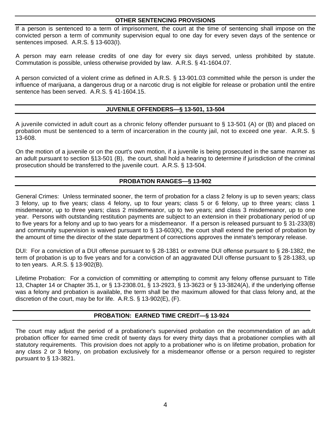#### **OTHER SENTENCING PROVISIONS**

If a person is sentenced to a term of imprisonment, the court at the time of sentencing shall impose on the convicted person a term of community supervision equal to one day for every seven days of the sentence or sentences imposed. A.R.S. § 13-603(I).

A person may earn release credits of one day for every six days served, unless prohibited by statute. Commutation is possible, unless otherwise provided by law. A.R.S. § 41-1604.07.

A person convicted of a violent crime as defined in A.R.S. § 13-901.03 committed while the person is under the influence of marijuana, a dangerous drug or a narcotic drug is not eligible for release or probation until the entire sentence has been served. A.R.S. § 41-1604.15.

#### **JUVENILE OFFENDERS—§ 13-501, 13-504**

A juvenile convicted in adult court as a chronic felony offender pursuant to § 13-501 (A) or (B) and placed on probation must be sentenced to a term of incarceration in the county jail, not to exceed one year. A.R.S. § 13-608.

On the motion of a juvenile or on the court's own motion, if a juvenile is being prosecuted in the same manner as an adult pursuant to section §13-501 (B), the court, shall hold a hearing to determine if jurisdiction of the criminal prosecution should be transferred to the juvenile court. A.R.S. § 13-504.

#### **PROBATION RANGES—§ 13-902**

General Crimes: Unless terminated sooner, the term of probation for a class 2 felony is up to seven years; class 3 felony, up to five years; class 4 felony, up to four years; class 5 or 6 felony, up to three years; class 1 misdemeanor, up to three years; class 2 misdemeanor, up to two years; and class 3 misdemeanor, up to one year. Persons with outstanding restitution payments are subject to an extension in their probationary period of up to five years for a felony and up to two years for a misdemeanor. If a person is released pursuant to § 31-233(B) and community supervision is waived pursuant to § 13-603(K), the court shall extend the period of probation by the amount of time the director of the state department of corrections approves the inmate's temporary release.

DUI: For a conviction of a DUI offense pursuant to § 28-1381 or extreme DUI offense pursuant to § 28-1382, the term of probation is up to five years and for a conviction of an aggravated DUI offense pursuant to § 28-1383, up to ten years. A.R.S. § 13-902(B).

Lifetime Probation: For a conviction of committing or attempting to commit any felony offense pursuant to Title 13, Chapter 14 or Chapter 35.1, or § 13-2308.01, § 13-2923, § 13-3623 or § 13-3824(A), if the underlying offense was a felony and probation is available, the term shall be the maximum allowed for that class felony and, at the discretion of the court, may be for life. A.R.S. § 13-902(E), (F).

#### **PROBATION: EARNED TIME CREDIT—§ 13-924**

The court may adjust the period of a probationer's supervised probation on the recommendation of an adult probation officer for earned time credit of twenty days for every thirty days that a probationer complies with all statutory requirements. This provision does not apply to a probationer who is on lifetime probation, probation for any class 2 or 3 felony, on probation exclusively for a misdemeanor offense or a person required to register pursuant to § 13-3821.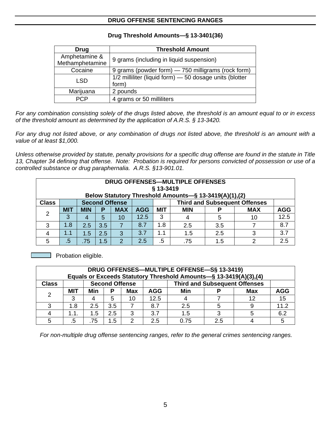#### **DRUG OFFENSE SENTENCING RANGES**

| Drug                             | <b>Threshold Amount</b>                                          |
|----------------------------------|------------------------------------------------------------------|
| Amphetamine &<br>Methamphetamine | 9 grams (including in liquid suspension)                         |
| Cocaine                          | 9 grams (powder form) - 750 milligrams (rock form)               |
| <b>LSD</b>                       | 1/2 milliliter (liquid form) - 50 dosage units (blotter<br>form) |
| Marijuana                        | 2 pounds                                                         |
|                                  | 4 grams or 50 milliliters                                        |

#### **Drug Threshold Amounts—§ 13-3401(36)**

*For any combination consisting solely of the drugs listed above, the threshold is an amount equal to or in excess of the threshold amount as determined by the application of A.R.S. § 13-3420.* 

*For any drug not listed above, or any combination of drugs not listed above, the threshold is an amount with a value of at least \$1,000.* 

*Unless otherwise provided by statute, penalty provisions for a specific drug offense are found in the statute in Title 13, Chapter 34 defining that offense. Note: Probation is required for persons convicted of possession or use of a controlled substance or drug paraphernalia. A.R.S. §13-901.01.* 

|               | DRUG OFFENSES—MULTIPLE OFFENSES<br>§ 13-3419<br>Below Statutory Threshold Amounts-§ 13-3419(A)(1),(2) |            |     |               |            |            |            |     |            |            |  |  |
|---------------|-------------------------------------------------------------------------------------------------------|------------|-----|---------------|------------|------------|------------|-----|------------|------------|--|--|
| <b>Class</b>  | <b>Third and Subsequent Offenses</b><br><b>Second Offense</b>                                         |            |     |               |            |            |            |     |            |            |  |  |
| $\mathcal{P}$ | <b>MIT</b>                                                                                            | <b>MIN</b> | Р   | <b>MAX</b>    | <b>AGG</b> | <b>MIT</b> | <b>MIN</b> |     | <b>MAX</b> | <b>AGG</b> |  |  |
|               | 3                                                                                                     |            | 5   | 10            | 12.5       | 3          |            |     | 10         | 12.5       |  |  |
| 3             | 1.8                                                                                                   | 2.5        | 3.5 |               | 8.7        | 1.8        | 2.5        | 3.5 |            | 8.7        |  |  |
|               |                                                                                                       | 1.5        | 2.5 | 3             | 3.7        |            | 1.5        | 2.5 |            | 3.7        |  |  |
| 5             | $.5^{\circ}$                                                                                          | .75        | 1.5 | $\mathcal{P}$ | 2.5        | .5         | .75        | 1.5 | ◠          | 2.5        |  |  |

**Probation eligible.** 

|                                                                               | DRUG OFFENSES-MULTIPLE OFFENSE-S§ 13-3419)<br>Equals or Exceeds Statutory Threshold Amounts-§ 13-3419(A)(3),(4) |     |     |            |            |      |     |            |            |  |  |  |
|-------------------------------------------------------------------------------|-----------------------------------------------------------------------------------------------------------------|-----|-----|------------|------------|------|-----|------------|------------|--|--|--|
| <b>Third and Subsequent Offenses</b><br><b>Second Offense</b><br><b>Class</b> |                                                                                                                 |     |     |            |            |      |     |            |            |  |  |  |
| っ                                                                             | MIT                                                                                                             | Min | Р   | <b>Max</b> | <b>AGG</b> | Min  |     | <b>Max</b> | <b>AGG</b> |  |  |  |
|                                                                               |                                                                                                                 |     | 5   | 10         | 12.5       |      |     | 12         | 15         |  |  |  |
|                                                                               | 1.8                                                                                                             | 2.5 | 3.5 |            | 8.7        | 2.5  |     |            | 11.2       |  |  |  |
|                                                                               | 1.1.                                                                                                            | 1.5 | 2.5 | ঽ          | 3.7        | 1.5  |     |            | 6.2        |  |  |  |
|                                                                               | .5                                                                                                              | 75  | 1.5 |            | 2.5        | 0.75 | 2.5 |            |            |  |  |  |

*For non-multiple drug offense sentencing ranges, refer to the general crimes sentencing ranges.*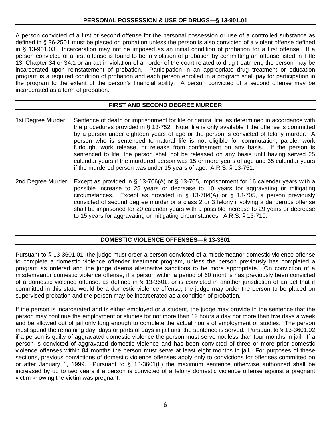#### **PERSONAL POSSESSION & USE OF DRUGS—§ 13-901.01**

A person convicted of a first or second offense for the personal possession or use of a controlled substance as defined in § 36-2501 must be placed on probation unless the person is also convicted of a violent offense defined in § 13-901.03. Incarceration may not be imposed as an initial condition of probation for a first offense. If a person convicted of a first offense is found to be in violation of probation by committing an offense listed in Title 13, Chapter 34 or 34.1 or an act in violation of an order of the court related to drug treatment, the person may be incarcerated upon reinstatement of probation. Participation in an appropriate drug treatment or education program is a required condition of probation and each person enrolled in a program shall pay for participation in the program to the extent of the person's financial ability. A person convicted of a second offense may be incarcerated as a term of probation.

#### **FIRST AND SECOND DEGREE MURDER**

- 1st Degree Murder Sentence of death or imprisonment for life or natural life, as determined in accordance with the procedures provided in § 13-752. Note, life is only available if the offense is committed by a person under eighteen years of age or the person is convicted of felony murder. A person who is sentenced to natural life is not eligible for commutation, parole, work furlough, work release, or release from confinement on any basis. If the person is sentenced to life, the person shall not be released on any basis until having served 25 calendar years if the murdered person was 15 or more years of age and 35 calendar years if the murdered person was under 15 years of age. A.R.S. § 13-751.
- 2nd Degree Murder Except as provided in § 13-706(A) or § 13-705, imprisonment for 16 calendar years with a possible increase to 25 years or decrease to 10 years for aggravating or mitigating circumstances. Except as provided in § 13-704(A) or § 13-705, a person previously convicted of second degree murder or a class 2 or 3 felony involving a dangerous offense shall be imprisoned for 20 calendar years with a possible increase to 29 years or decrease to 15 years for aggravating or mitigating circumstances. A.R.S. § 13-710.

#### **DOMESTIC VIOLENCE OFFENSES—§ 13-3601**

Pursuant to § 13-3601.01, the judge must order a person convicted of a misdemeanor domestic violence offense to complete a domestic violence offender treatment program, unless the person previously has completed a program as ordered and the judge deems alternative sanctions to be more appropriate. On conviction of a misdemeanor domestic violence offense, if a person within a period of 60 months has previously been convicted of a domestic violence offense, as defined in § 13-3601, or is convicted in another jurisdiction of an act that if committed in this state would be a domestic violence offense, the judge may order the person to be placed on supervised probation and the person may be incarcerated as a condition of probation.

If the person is incarcerated and is either employed or a student, the judge may provide in the sentence that the person may continue the employment or studies for not more than 12 hours a day nor more than five days a week and be allowed out of jail only long enough to complete the actual hours of employment or studies. The person must spend the remaining day, days or parts of days in jail until the sentence is served. Pursuant to § 13-3601.02 if a person is guilty of aggravated domestic violence the person must serve not less than four months in jail. If a person is convicted of aggravated domestic violence and has been convicted of three or more prior domestic violence offenses within 84 months the person must serve at least eight months in jail. For purposes of these sections, previous convictions of domestic violence offenses apply only to convictions for offenses committed on or after January 1, 1999. Pursuant to § 13-3601(L) the maximum sentence otherwise authorized shall be increased by up to two years if a person is convicted of a felony domestic violence offense against a pregnant victim knowing the victim was pregnant.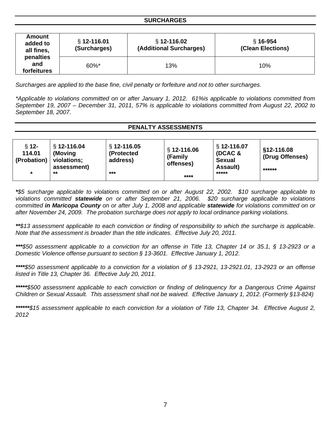| Amount<br>added to<br>all fines, | $§ 12 - 116.01$<br>(Surcharges) | $§ 12-116.02$<br>(Additional Surcharges) | $§ 16-954$<br>(Clean Elections) |
|----------------------------------|---------------------------------|------------------------------------------|---------------------------------|
| penalties<br>and<br>forfeitures  | 60%*                            | 13%                                      | 10%                             |

*Surcharges are applied to the base fine, civil penalty or forfeiture and not to other surcharges.* 

*\*Applicable to violations committed on or after January 1, 2012. 61%is applicable to violations committed from September 19, 2007 – December 31, 2011, 57% is applicable to violations committed from August 22, 2002 to September 18, 2007*.

#### **PENALTY ASSESSMENTS**

| $§ 12 -$<br>114.01<br>(Probation) | $$12-116.04$<br>(Moving)<br>violations;<br>assessment) | $§ 12 - 116.05$<br>(Protected<br>address) | § 12-116.06<br>(Family<br>offenses) | $\S$ 12-116.07<br>(DCAC &<br><b>Sexual</b><br><b>Assault)</b> | §12-116.08<br>(Drug Offenses)<br>****** |
|-----------------------------------|--------------------------------------------------------|-------------------------------------------|-------------------------------------|---------------------------------------------------------------|-----------------------------------------|
| *                                 | **                                                     | $***$                                     | ****                                | *****                                                         |                                         |

*\*\$5 surcharge applicable to violations committed on or after August 22, 2002. \$10 surcharge applicable to violations committed statewide on or after September 21, 2006. \$20 surcharge applicable to violations committed in Maricopa County on or after July 1, 2008 and applicable statewide for violations committed on or after November 24, 2009. The probation surcharge does not apply to local ordinance parking violations.* 

*\*\*\$13 assessment applicable to each conviction or finding of responsibility to which the surcharge is applicable. Note that the assessment is broader than the title indicates. Effective July 20, 2011.* 

*\*\*\*\$50 assessment applicable to a conviction for an offense in Title 13, Chapter 14 or 35.1, § 13-2923 or a Domestic Violence offense pursuant to section § 13-3601. Effective January 1, 2012.* 

*\*\*\*\*\$50 assessment applicable to a conviction for a violation of § 13-2921, 13-2921.01, 13-2923 or an offense listed in Title 13, Chapter 36. Effective July 20, 2011.* 

*\*\*\*\*\*\$500 assessment applicable to each conviction or finding of delinquency for a Dangerous Crime Against Children or Sexual Assault. This assessment shall not be waived. Effective January 1, 2012. (Formerly §13-824)* 

*\*\*\*\*\*\*\$15 assessment applicable to each conviction for a violation of Title 13, Chapter 34. Effective August 2, 2012*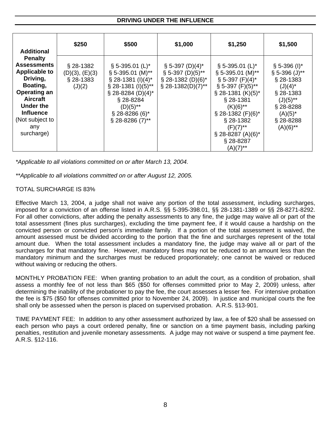#### **DRIVING UNDER THE INFLUENCE**

| <b>Additional</b>                                                                                                                                                                                              | \$250                                                  | \$500                                                                                                                                                                                                                                                 | \$1,000                                                                                                | \$1,250                                                                                                                                                                                                                                                                                                   | \$1,500                                                                                                                                                       |
|----------------------------------------------------------------------------------------------------------------------------------------------------------------------------------------------------------------|--------------------------------------------------------|-------------------------------------------------------------------------------------------------------------------------------------------------------------------------------------------------------------------------------------------------------|--------------------------------------------------------------------------------------------------------|-----------------------------------------------------------------------------------------------------------------------------------------------------------------------------------------------------------------------------------------------------------------------------------------------------------|---------------------------------------------------------------------------------------------------------------------------------------------------------------|
| <b>Penalty</b><br><b>Assessments</b><br><b>Applicable to</b><br>Driving,<br>Boating,<br><b>Operating an</b><br><b>Aircraft</b><br><b>Under the</b><br><b>Influence</b><br>(Not subject to<br>any<br>surcharge) | $§$ 28-1382<br>(D)(3), (E)(3)<br>$§$ 28-1383<br>(J)(2) | $\S$ 5-395.01 (L) <sup>*</sup><br>$\S$ 5-395.01 (M)**<br>$\S$ 28-1381 (I)(4) <sup>*</sup><br>$\S$ 28-1381 (I)(5)**<br>$\S$ 28-8284 (D)(4) <sup>*</sup><br>§ 28-8284<br>$(D)(5)$ **<br>$\S$ 28-8286 (6) <sup>*</sup><br>$\S$ 28-8286 (7) <sup>**</sup> | $\S 5-397 (D)(4)^*$<br>$\S$ 5-397 (D)(5)**<br>$\S$ 28-1382 (D)(6) <sup>*</sup><br>$\S$ 28-1382(D)(7)** | $\S$ 5-395.01 (L) <sup>*</sup><br>$\S$ 5-395.01 (M)**<br>$\S$ 5-397 (F)(4) <sup>*</sup><br>$\S$ 5-397 (F)(5)**<br>$\S$ 28-1381 (K)(5) <sup>*</sup><br>$§$ 28-1381<br>$(K)(6)$ **<br>$\S$ 28-1382 (F)(6)*<br>$§$ 28-1382<br>$(F)(7)$ **<br>$\S$ 28-8287 (A)(6) <sup>*</sup><br>$\S$ 28-8287<br>$(A)(7)$ ** | $\S$ 5-396 (I) <sup>*</sup><br>$§ 5-396 (J)**$<br>§ 28-1383<br>$(J)(4)^*$<br>§ 28-1383<br>$(J)(5)$ **<br>$$28-8288$<br>$(A)(5)^*$<br>§ 28-8288<br>$(A)(6)$ ** |

*\*Applicable to all violations committed on or after March 13, 2004.* 

*\*\*Applicable to all violations committed on or after August 12, 2005.* 

#### TOTAL SURCHARGE IS 83%

Effective March 13, 2004, a judge shall not waive any portion of the total assessment, including surcharges, imposed for a conviction of an offense listed in A.R.S. §§ 5-395-398.01, §§ 28-1381-1389 or §§ 28-8271-8292. For all other convictions, after adding the penalty assessments to any fine, the judge may waive all or part of the total assessment (fines plus surcharges), excluding the time payment fee, if it would cause a hardship on the convicted person or convicted person's immediate family. If a portion of the total assessment is waived, the amount assessed must be divided according to the portion that the fine and surcharges represent of the total amount due. When the total assessment includes a mandatory fine, the judge may waive all or part of the surcharges for that mandatory fine. However, mandatory fines may not be reduced to an amount less than the mandatory minimum and the surcharges must be reduced proportionately; one cannot be waived or reduced without waiving or reducing the others.

MONTHLY PROBATION FEE: When granting probation to an adult the court, as a condition of probation, shall assess a monthly fee of not less than \$65 (\$50 for offenses committed prior to May 2, 2009) unless, after determining the inability of the probationer to pay the fee, the court assesses a lesser fee. For intensive probation the fee is \$75 (\$50 for offenses committed prior to November 24, 2009). In justice and municipal courts the fee shall only be assessed when the person is placed on supervised probation. A.R.S. §13-901.

TIME PAYMENT FEE: In addition to any other assessment authorized by law, a fee of \$20 shall be assessed on each person who pays a court ordered penalty, fine or sanction on a time payment basis, including parking penalties, restitution and juvenile monetary assessments. A judge may not waive or suspend a time payment fee. A.R.S. §12-116.